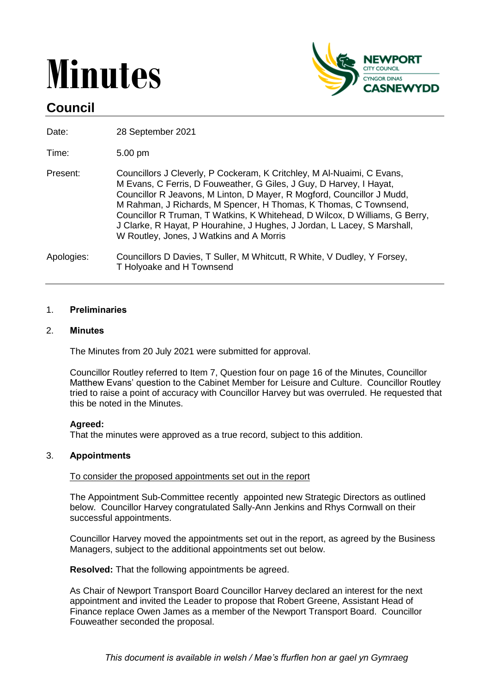# **Minutes**



# **Council**

Date: 28 September 2021

Time: 5.00 pm

Present: Councillors J Cleverly, P Cockeram, K Critchley, M Al-Nuaimi, C Evans, M Evans, C Ferris, D Fouweather, G Giles, J Guy, D Harvey, I Hayat, Councillor R Jeavons, M Linton, D Mayer, R Mogford, Councillor J Mudd, M Rahman, J Richards, M Spencer, H Thomas, K Thomas, C Townsend, Councillor R Truman, T Watkins, K Whitehead, D Wilcox, D Williams, G Berry, J Clarke, R Hayat, P Hourahine, J Hughes, J Jordan, L Lacey, S Marshall, W Routley, Jones, J Watkins and A Morris

Apologies: Councillors D Davies, T Suller, M Whitcutt, R White, V Dudley, Y Forsey, T Holyoake and H Townsend

# 1. **Preliminaries**

# 2. **Minutes**

The Minutes from 20 July 2021 were submitted for approval.

Councillor Routley referred to Item 7, Question four on page 16 of the Minutes, Councillor Matthew Evans' question to the Cabinet Member for Leisure and Culture. Councillor Routley tried to raise a point of accuracy with Councillor Harvey but was overruled. He requested that this be noted in the Minutes.

# **Agreed:**

That the minutes were approved as a true record, subject to this addition.

# 3. **Appointments**

# To consider the proposed appointments set out in the report

The Appointment Sub-Committee recently appointed new Strategic Directors as outlined below. Councillor Harvey congratulated Sally-Ann Jenkins and Rhys Cornwall on their successful appointments.

Councillor Harvey moved the appointments set out in the report, as agreed by the Business Managers, subject to the additional appointments set out below.

**Resolved:** That the following appointments be agreed.

As Chair of Newport Transport Board Councillor Harvey declared an interest for the next appointment and invited the Leader to propose that Robert Greene, Assistant Head of Finance replace Owen James as a member of the Newport Transport Board. Councillor Fouweather seconded the proposal.

*This document is available in welsh / Mae's ffurflen hon ar gael yn Gymraeg*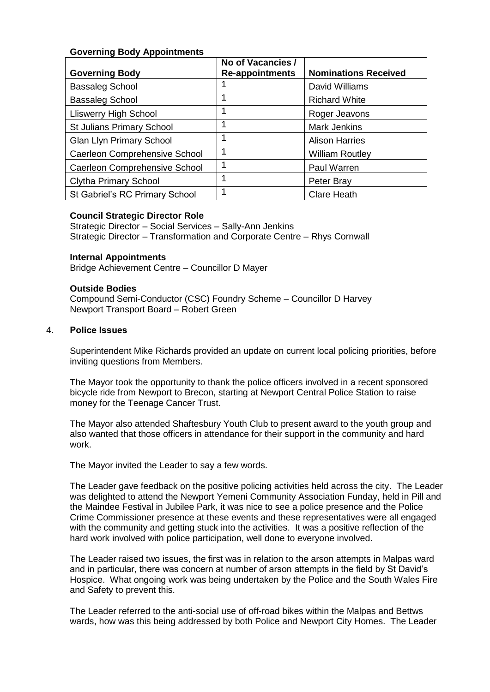# **Governing Body Appointments**

| <b>Governing Body</b>                | No of Vacancies /<br><b>Re-appointments</b> | <b>Nominations Received</b> |
|--------------------------------------|---------------------------------------------|-----------------------------|
| <b>Bassaleg School</b>               |                                             | David Williams              |
| <b>Bassaleg School</b>               | 1                                           | <b>Richard White</b>        |
| <b>Lliswerry High School</b>         | 1                                           | Roger Jeavons               |
| <b>St Julians Primary School</b>     | 1                                           | <b>Mark Jenkins</b>         |
| <b>Glan Llyn Primary School</b>      | 1                                           | <b>Alison Harries</b>       |
| <b>Caerleon Comprehensive School</b> | 1                                           | <b>William Routley</b>      |
| <b>Caerleon Comprehensive School</b> | 1                                           | Paul Warren                 |
| <b>Clytha Primary School</b>         | 1                                           | Peter Bray                  |
| St Gabriel's RC Primary School       | 1                                           | <b>Clare Heath</b>          |

# **Council Strategic Director Role**

Strategic Director – Social Services – Sally-Ann Jenkins Strategic Director – Transformation and Corporate Centre – Rhys Cornwall

#### **Internal Appointments**

Bridge Achievement Centre – Councillor D Mayer

#### **Outside Bodies**

Compound Semi-Conductor (CSC) Foundry Scheme – Councillor D Harvey Newport Transport Board – Robert Green

#### 4. **Police Issues**

Superintendent Mike Richards provided an update on current local policing priorities, before inviting questions from Members.

The Mayor took the opportunity to thank the police officers involved in a recent sponsored bicycle ride from Newport to Brecon, starting at Newport Central Police Station to raise money for the Teenage Cancer Trust.

The Mayor also attended Shaftesbury Youth Club to present award to the youth group and also wanted that those officers in attendance for their support in the community and hard work.

The Mayor invited the Leader to say a few words.

The Leader gave feedback on the positive policing activities held across the city. The Leader was delighted to attend the Newport Yemeni Community Association Funday, held in Pill and the Maindee Festival in Jubilee Park, it was nice to see a police presence and the Police Crime Commissioner presence at these events and these representatives were all engaged with the community and getting stuck into the activities. It was a positive reflection of the hard work involved with police participation, well done to everyone involved.

The Leader raised two issues, the first was in relation to the arson attempts in Malpas ward and in particular, there was concern at number of arson attempts in the field by St David's Hospice. What ongoing work was being undertaken by the Police and the South Wales Fire and Safety to prevent this.

The Leader referred to the anti-social use of off-road bikes within the Malpas and Bettws wards, how was this being addressed by both Police and Newport City Homes. The Leader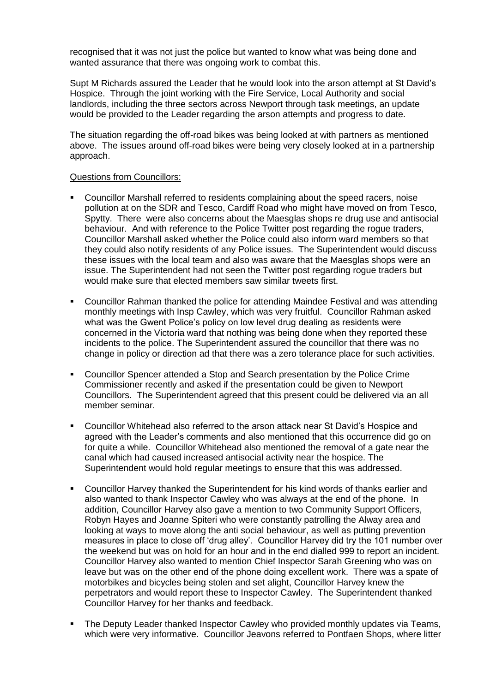recognised that it was not just the police but wanted to know what was being done and wanted assurance that there was ongoing work to combat this.

Supt M Richards assured the Leader that he would look into the arson attempt at St David's Hospice. Through the joint working with the Fire Service, Local Authority and social landlords, including the three sectors across Newport through task meetings, an update would be provided to the Leader regarding the arson attempts and progress to date.

The situation regarding the off-road bikes was being looked at with partners as mentioned above. The issues around off-road bikes were being very closely looked at in a partnership approach.

#### Questions from Councillors:

- Councillor Marshall referred to residents complaining about the speed racers, noise pollution at on the SDR and Tesco, Cardiff Road who might have moved on from Tesco, Spytty. There were also concerns about the Maesglas shops re drug use and antisocial behaviour. And with reference to the Police Twitter post regarding the rogue traders, Councillor Marshall asked whether the Police could also inform ward members so that they could also notify residents of any Police issues. The Superintendent would discuss these issues with the local team and also was aware that the Maesglas shops were an issue. The Superintendent had not seen the Twitter post regarding rogue traders but would make sure that elected members saw similar tweets first.
- Councillor Rahman thanked the police for attending Maindee Festival and was attending monthly meetings with Insp Cawley, which was very fruitful. Councillor Rahman asked what was the Gwent Police's policy on low level drug dealing as residents were concerned in the Victoria ward that nothing was being done when they reported these incidents to the police. The Superintendent assured the councillor that there was no change in policy or direction ad that there was a zero tolerance place for such activities.
- Councillor Spencer attended a Stop and Search presentation by the Police Crime Commissioner recently and asked if the presentation could be given to Newport Councillors. The Superintendent agreed that this present could be delivered via an all member seminar.
- Councillor Whitehead also referred to the arson attack near St David's Hospice and agreed with the Leader's comments and also mentioned that this occurrence did go on for quite a while. Councillor Whitehead also mentioned the removal of a gate near the canal which had caused increased antisocial activity near the hospice. The Superintendent would hold regular meetings to ensure that this was addressed.
- Councillor Harvey thanked the Superintendent for his kind words of thanks earlier and also wanted to thank Inspector Cawley who was always at the end of the phone. In addition, Councillor Harvey also gave a mention to two Community Support Officers, Robyn Hayes and Joanne Spiteri who were constantly patrolling the Alway area and looking at ways to move along the anti social behaviour, as well as putting prevention measures in place to close off 'drug alley'. Councillor Harvey did try the 101 number over the weekend but was on hold for an hour and in the end dialled 999 to report an incident. Councillor Harvey also wanted to mention Chief Inspector Sarah Greening who was on leave but was on the other end of the phone doing excellent work. There was a spate of motorbikes and bicycles being stolen and set alight, Councillor Harvey knew the perpetrators and would report these to Inspector Cawley. The Superintendent thanked Councillor Harvey for her thanks and feedback.
- The Deputy Leader thanked Inspector Cawley who provided monthly updates via Teams, which were very informative. Councillor Jeavons referred to Pontfaen Shops, where litter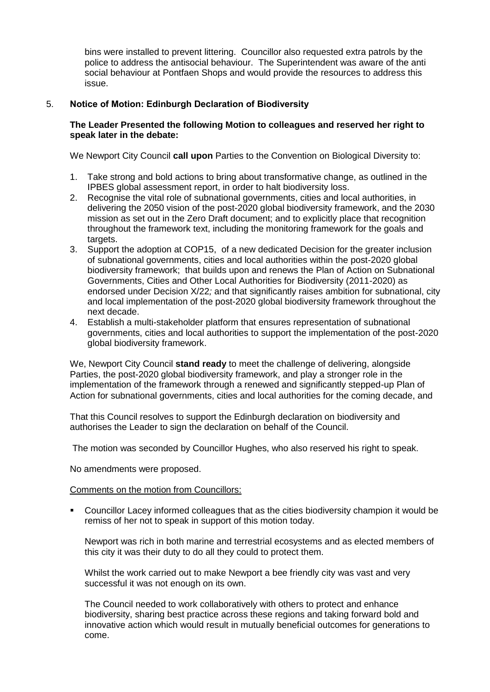bins were installed to prevent littering. Councillor also requested extra patrols by the police to address the antisocial behaviour. The Superintendent was aware of the anti social behaviour at Pontfaen Shops and would provide the resources to address this issue.

# 5. **Notice of Motion: Edinburgh Declaration of Biodiversity**

# **The Leader Presented the following Motion to colleagues and reserved her right to speak later in the debate:**

We Newport City Council **call upon** Parties to the Convention on Biological Diversity to:

- 1. Take strong and bold actions to bring about transformative change, as outlined in the IPBES global assessment report, in order to halt biodiversity loss.
- 2. Recognise the vital role of subnational governments, cities and local authorities, in delivering the 2050 vision of the post-2020 global biodiversity framework, and the 2030 mission as set out in the Zero Draft document; and to explicitly place that recognition throughout the framework text, including the monitoring framework for the goals and targets.
- 3. Support the adoption at COP15, of a new dedicated Decision for the greater inclusion of subnational governments, cities and local authorities within the post-2020 global biodiversity framework; that builds upon and renews the Plan of Action on Subnational Governments, Cities and Other Local Authorities for Biodiversity (2011-2020) as endorsed under Decision X/22*;* and that significantly raises ambition for subnational, city and local implementation of the post-2020 global biodiversity framework throughout the next decade.
- 4. Establish a multi-stakeholder platform that ensures representation of subnational governments, cities and local authorities to support the implementation of the post-2020 global biodiversity framework.

We, Newport City Council **stand ready** to meet the challenge of delivering, alongside Parties, the post-2020 global biodiversity framework, and play a stronger role in the implementation of the framework through a renewed and significantly stepped-up Plan of Action for subnational governments, cities and local authorities for the coming decade, and

That this Council resolves to support the Edinburgh declaration on biodiversity and authorises the Leader to sign the declaration on behalf of the Council.

The motion was seconded by Councillor Hughes, who also reserved his right to speak.

No amendments were proposed.

Comments on the motion from Councillors:

 Councillor Lacey informed colleagues that as the cities biodiversity champion it would be remiss of her not to speak in support of this motion today.

Newport was rich in both marine and terrestrial ecosystems and as elected members of this city it was their duty to do all they could to protect them.

Whilst the work carried out to make Newport a bee friendly city was vast and very successful it was not enough on its own.

The Council needed to work collaboratively with others to protect and enhance biodiversity, sharing best practice across these regions and taking forward bold and innovative action which would result in mutually beneficial outcomes for generations to come.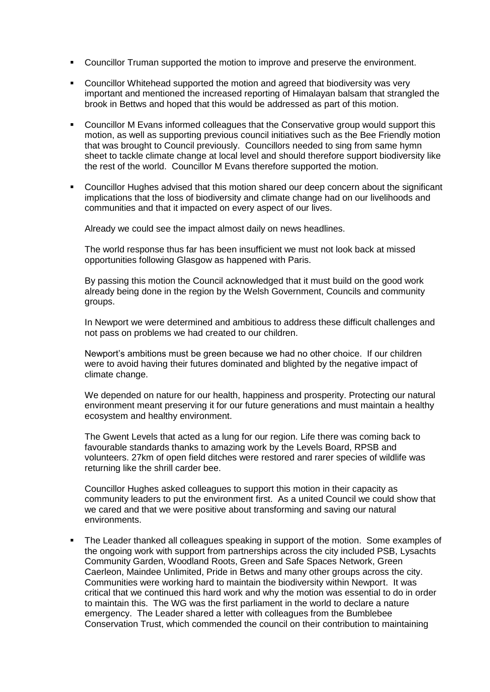- Councillor Truman supported the motion to improve and preserve the environment.
- Councillor Whitehead supported the motion and agreed that biodiversity was very important and mentioned the increased reporting of Himalayan balsam that strangled the brook in Bettws and hoped that this would be addressed as part of this motion.
- Councillor M Evans informed colleagues that the Conservative group would support this motion, as well as supporting previous council initiatives such as the Bee Friendly motion that was brought to Council previously. Councillors needed to sing from same hymn sheet to tackle climate change at local level and should therefore support biodiversity like the rest of the world. Councillor M Evans therefore supported the motion.
- Councillor Hughes advised that this motion shared our deep concern about the significant implications that the loss of biodiversity and climate change had on our livelihoods and communities and that it impacted on every aspect of our lives.

Already we could see the impact almost daily on news headlines.

The world response thus far has been insufficient we must not look back at missed opportunities following Glasgow as happened with Paris.

By passing this motion the Council acknowledged that it must build on the good work already being done in the region by the Welsh Government, Councils and community groups.

In Newport we were determined and ambitious to address these difficult challenges and not pass on problems we had created to our children.

Newport's ambitions must be green because we had no other choice. If our children were to avoid having their futures dominated and blighted by the negative impact of climate change.

We depended on nature for our health, happiness and prosperity. Protecting our natural environment meant preserving it for our future generations and must maintain a healthy ecosystem and healthy environment.

The Gwent Levels that acted as a lung for our region. Life there was coming back to favourable standards thanks to amazing work by the Levels Board, RPSB and volunteers. 27km of open field ditches were restored and rarer species of wildlife was returning like the shrill carder bee.

Councillor Hughes asked colleagues to support this motion in their capacity as community leaders to put the environment first. As a united Council we could show that we cared and that we were positive about transforming and saving our natural environments.

 The Leader thanked all colleagues speaking in support of the motion. Some examples of the ongoing work with support from partnerships across the city included PSB, Lysachts Community Garden, Woodland Roots, Green and Safe Spaces Network, Green Caerleon, Maindee Unlimited, Pride in Betws and many other groups across the city. Communities were working hard to maintain the biodiversity within Newport. It was critical that we continued this hard work and why the motion was essential to do in order to maintain this. The WG was the first parliament in the world to declare a nature emergency. The Leader shared a letter with colleagues from the Bumblebee Conservation Trust, which commended the council on their contribution to maintaining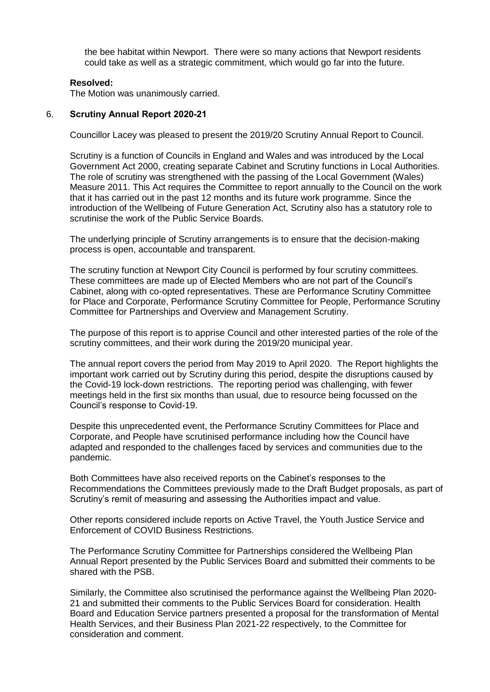the bee habitat within Newport. There were so many actions that Newport residents could take as well as a strategic commitment, which would go far into the future.

# **Resolved:**

The Motion was unanimously carried.

# 6. **Scrutiny Annual Report 2020-21**

Councillor Lacey was pleased to present the 2019/20 Scrutiny Annual Report to Council.

Scrutiny is a function of Councils in England and Wales and was introduced by the Local Government Act 2000, creating separate Cabinet and Scrutiny functions in Local Authorities. The role of scrutiny was strengthened with the passing of the Local Government (Wales) Measure 2011. This Act requires the Committee to report annually to the Council on the work that it has carried out in the past 12 months and its future work programme. Since the introduction of the Wellbeing of Future Generation Act, Scrutiny also has a statutory role to scrutinise the work of the Public Service Boards.

The underlying principle of Scrutiny arrangements is to ensure that the decision-making process is open, accountable and transparent.

The scrutiny function at Newport City Council is performed by four scrutiny committees. These committees are made up of Elected Members who are not part of the Council's Cabinet, along with co-opted representatives. These are Performance Scrutiny Committee for Place and Corporate, Performance Scrutiny Committee for People, Performance Scrutiny Committee for Partnerships and Overview and Management Scrutiny.

The purpose of this report is to apprise Council and other interested parties of the role of the scrutiny committees, and their work during the 2019/20 municipal year.

The annual report covers the period from May 2019 to April 2020. The Report highlights the important work carried out by Scrutiny during this period, despite the disruptions caused by the Covid-19 lock-down restrictions. The reporting period was challenging, with fewer meetings held in the first six months than usual, due to resource being focussed on the Council's response to Covid-19.

Despite this unprecedented event, the Performance Scrutiny Committees for Place and Corporate, and People have scrutinised performance including how the Council have adapted and responded to the challenges faced by services and communities due to the pandemic.

Both Committees have also received reports on the Cabinet's responses to the Recommendations the Committees previously made to the Draft Budget proposals, as part of Scrutiny's remit of measuring and assessing the Authorities impact and value.

Other reports considered include reports on Active Travel, the Youth Justice Service and Enforcement of COVID Business Restrictions.

The Performance Scrutiny Committee for Partnerships considered the Wellbeing Plan Annual Report presented by the Public Services Board and submitted their comments to be shared with the PSB.

Similarly, the Committee also scrutinised the performance against the Wellbeing Plan 2020- 21 and submitted their comments to the Public Services Board for consideration. Health Board and Education Service partners presented a proposal for the transformation of Mental Health Services, and their Business Plan 2021-22 respectively, to the Committee for consideration and comment.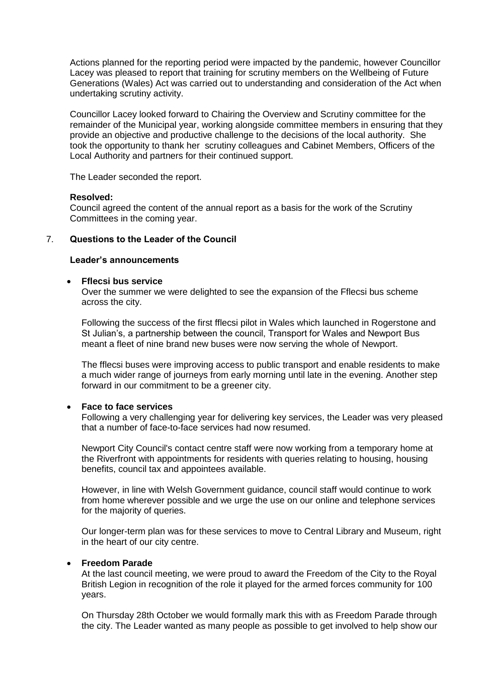Actions planned for the reporting period were impacted by the pandemic, however Councillor Lacey was pleased to report that training for scrutiny members on the Wellbeing of Future Generations (Wales) Act was carried out to understanding and consideration of the Act when undertaking scrutiny activity.

Councillor Lacey looked forward to Chairing the Overview and Scrutiny committee for the remainder of the Municipal year, working alongside committee members in ensuring that they provide an objective and productive challenge to the decisions of the local authority. She took the opportunity to thank her scrutiny colleagues and Cabinet Members, Officers of the Local Authority and partners for their continued support.

The Leader seconded the report.

#### **Resolved:**

Council agreed the content of the annual report as a basis for the work of the Scrutiny Committees in the coming year.

# 7. **Questions to the Leader of the Council**

#### **Leader's announcements**

#### **Fflecsi bus service**

Over the summer we were delighted to see the expansion of the Fflecsi bus scheme across the city.

Following the success of the first fflecsi pilot in Wales which launched in Rogerstone and St Julian's, a partnership between the council, Transport for Wales and Newport Bus meant a fleet of nine brand new buses were now serving the whole of Newport.

The fflecsi buses were improving access to public transport and enable residents to make a much wider range of journeys from early morning until late in the evening. Another step forward in our commitment to be a greener city.

#### **Face to face services**

Following a very challenging year for delivering key services, the Leader was very pleased that a number of face-to-face services had now resumed.

Newport City Council's contact centre staff were now working from a temporary home at the Riverfront with appointments for residents with queries relating to housing, housing benefits, council tax and appointees available.

However, in line with Welsh Government guidance, council staff would continue to work from home wherever possible and we urge the use on our online and telephone services for the majority of queries.

Our longer-term plan was for these services to move to Central Library and Museum, right in the heart of our city centre.

#### **Freedom Parade**

At the last council meeting, we were proud to award the Freedom of the City to the Royal British Legion in recognition of the role it played for the armed forces community for 100 years.

On Thursday 28th October we would formally mark this with as Freedom Parade through the city. The Leader wanted as many people as possible to get involved to help show our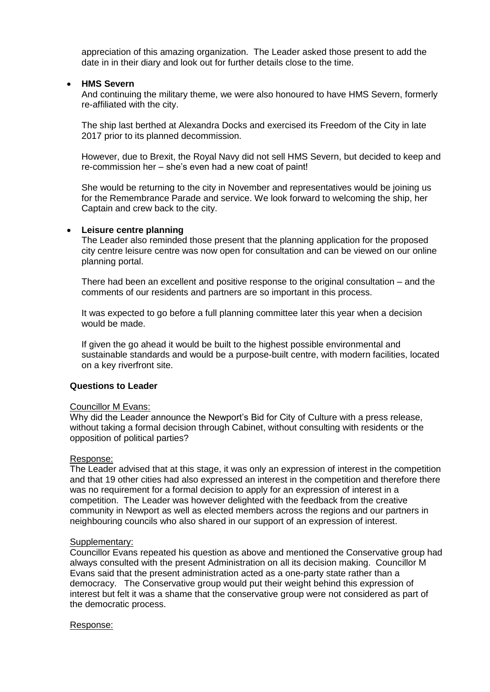appreciation of this amazing organization. The Leader asked those present to add the date in in their diary and look out for further details close to the time.

### **HMS Severn**

And continuing the military theme, we were also honoured to have HMS Severn, formerly re-affiliated with the city.

The ship last berthed at Alexandra Docks and exercised its Freedom of the City in late 2017 prior to its planned decommission.

However, due to Brexit, the Royal Navy did not sell HMS Severn, but decided to keep and re-commission her – she's even had a new coat of paint!

She would be returning to the city in November and representatives would be joining us for the Remembrance Parade and service. We look forward to welcoming the ship, her Captain and crew back to the city.

#### **Leisure centre planning**

The Leader also reminded those present that the planning application for the proposed city centre leisure centre was now open for consultation and can be viewed on our online planning portal.

There had been an excellent and positive response to the original consultation – and the comments of our residents and partners are so important in this process.

It was expected to go before a full planning committee later this year when a decision would be made.

If given the go ahead it would be built to the highest possible environmental and sustainable standards and would be a purpose-built centre, with modern facilities, located on a key riverfront site.

#### **Questions to Leader**

#### Councillor M Evans:

Why did the Leader announce the Newport's Bid for City of Culture with a press release, without taking a formal decision through Cabinet, without consulting with residents or the opposition of political parties?

#### Response:

The Leader advised that at this stage, it was only an expression of interest in the competition and that 19 other cities had also expressed an interest in the competition and therefore there was no requirement for a formal decision to apply for an expression of interest in a competition. The Leader was however delighted with the feedback from the creative community in Newport as well as elected members across the regions and our partners in neighbouring councils who also shared in our support of an expression of interest.

#### Supplementary:

Councillor Evans repeated his question as above and mentioned the Conservative group had always consulted with the present Administration on all its decision making. Councillor M Evans said that the present administration acted as a one-party state rather than a democracy. The Conservative group would put their weight behind this expression of interest but felt it was a shame that the conservative group were not considered as part of the democratic process.

Response: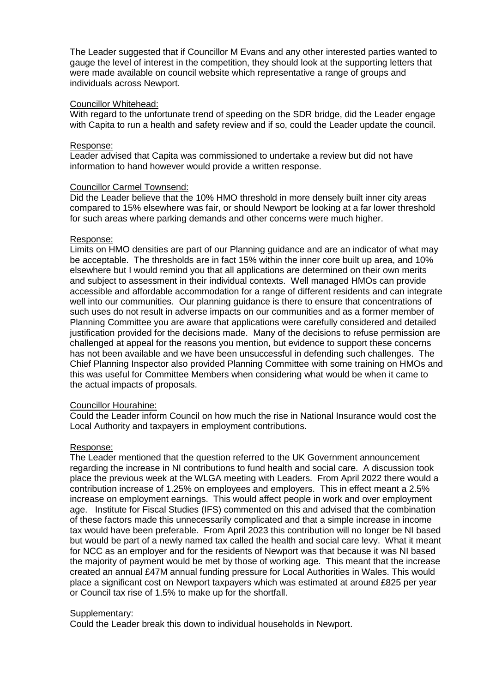The Leader suggested that if Councillor M Evans and any other interested parties wanted to gauge the level of interest in the competition, they should look at the supporting letters that were made available on council website which representative a range of groups and individuals across Newport.

#### Councillor Whitehead:

With regard to the unfortunate trend of speeding on the SDR bridge, did the Leader engage with Capita to run a health and safety review and if so, could the Leader update the council.

#### Response:

Leader advised that Capita was commissioned to undertake a review but did not have information to hand however would provide a written response.

#### Councillor Carmel Townsend:

Did the Leader believe that the 10% HMO threshold in more densely built inner city areas compared to 15% elsewhere was fair, or should Newport be looking at a far lower threshold for such areas where parking demands and other concerns were much higher.

#### Response:

Limits on HMO densities are part of our Planning guidance and are an indicator of what may be acceptable. The thresholds are in fact 15% within the inner core built up area, and 10% elsewhere but I would remind you that all applications are determined on their own merits and subject to assessment in their individual contexts. Well managed HMOs can provide accessible and affordable accommodation for a range of different residents and can integrate well into our communities. Our planning guidance is there to ensure that concentrations of such uses do not result in adverse impacts on our communities and as a former member of Planning Committee you are aware that applications were carefully considered and detailed justification provided for the decisions made. Many of the decisions to refuse permission are challenged at appeal for the reasons you mention, but evidence to support these concerns has not been available and we have been unsuccessful in defending such challenges. The Chief Planning Inspector also provided Planning Committee with some training on HMOs and this was useful for Committee Members when considering what would be when it came to the actual impacts of proposals.

# Councillor Hourahine:

Could the Leader inform Council on how much the rise in National Insurance would cost the Local Authority and taxpayers in employment contributions.

# Response:

The Leader mentioned that the question referred to the UK Government announcement regarding the increase in NI contributions to fund health and social care. A discussion took place the previous week at the WLGA meeting with Leaders. From April 2022 there would a contribution increase of 1.25% on employees and employers. This in effect meant a 2.5% increase on employment earnings. This would affect people in work and over employment age. Institute for Fiscal Studies (IFS) commented on this and advised that the combination of these factors made this unnecessarily complicated and that a simple increase in income tax would have been preferable. From April 2023 this contribution will no longer be NI based but would be part of a newly named tax called the health and social care levy. What it meant for NCC as an employer and for the residents of Newport was that because it was NI based the majority of payment would be met by those of working age. This meant that the increase created an annual £47M annual funding pressure for Local Authorities in Wales. This would place a significant cost on Newport taxpayers which was estimated at around £825 per year or Council tax rise of 1.5% to make up for the shortfall.

#### Supplementary:

Could the Leader break this down to individual households in Newport.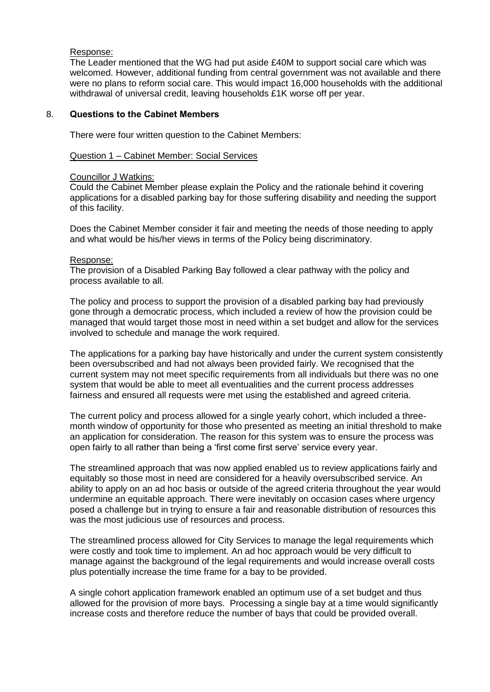#### Response:

The Leader mentioned that the WG had put aside £40M to support social care which was welcomed. However, additional funding from central government was not available and there were no plans to reform social care. This would impact 16,000 households with the additional withdrawal of universal credit, leaving households £1K worse off per year.

# 8. **Questions to the Cabinet Members**

There were four written question to the Cabinet Members:

#### Question 1 – Cabinet Member: Social Services

#### Councillor J Watkins:

Could the Cabinet Member please explain the Policy and the rationale behind it covering applications for a disabled parking bay for those suffering disability and needing the support of this facility.

Does the Cabinet Member consider it fair and meeting the needs of those needing to apply and what would be his/her views in terms of the Policy being discriminatory.

#### Response:

The provision of a Disabled Parking Bay followed a clear pathway with the policy and process available to all.

The policy and process to support the provision of a disabled parking bay had previously gone through a democratic process, which included a review of how the provision could be managed that would target those most in need within a set budget and allow for the services involved to schedule and manage the work required.

The applications for a parking bay have historically and under the current system consistently been oversubscribed and had not always been provided fairly. We recognised that the current system may not meet specific requirements from all individuals but there was no one system that would be able to meet all eventualities and the current process addresses fairness and ensured all requests were met using the established and agreed criteria.

The current policy and process allowed for a single yearly cohort, which included a threemonth window of opportunity for those who presented as meeting an initial threshold to make an application for consideration. The reason for this system was to ensure the process was open fairly to all rather than being a 'first come first serve' service every year.

The streamlined approach that was now applied enabled us to review applications fairly and equitably so those most in need are considered for a heavily oversubscribed service. An ability to apply on an ad hoc basis or outside of the agreed criteria throughout the year would undermine an equitable approach. There were inevitably on occasion cases where urgency posed a challenge but in trying to ensure a fair and reasonable distribution of resources this was the most judicious use of resources and process.

The streamlined process allowed for City Services to manage the legal requirements which were costly and took time to implement. An ad hoc approach would be very difficult to manage against the background of the legal requirements and would increase overall costs plus potentially increase the time frame for a bay to be provided.

A single cohort application framework enabled an optimum use of a set budget and thus allowed for the provision of more bays. Processing a single bay at a time would significantly increase costs and therefore reduce the number of bays that could be provided overall.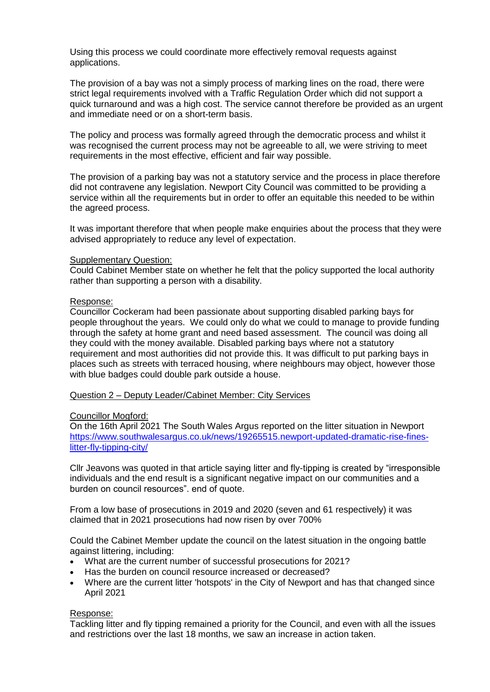Using this process we could coordinate more effectively removal requests against applications.

The provision of a bay was not a simply process of marking lines on the road, there were strict legal requirements involved with a Traffic Regulation Order which did not support a quick turnaround and was a high cost. The service cannot therefore be provided as an urgent and immediate need or on a short-term basis.

The policy and process was formally agreed through the democratic process and whilst it was recognised the current process may not be agreeable to all, we were striving to meet requirements in the most effective, efficient and fair way possible.

The provision of a parking bay was not a statutory service and the process in place therefore did not contravene any legislation. Newport City Council was committed to be providing a service within all the requirements but in order to offer an equitable this needed to be within the agreed process.

It was important therefore that when people make enquiries about the process that they were advised appropriately to reduce any level of expectation.

#### Supplementary Question:

Could Cabinet Member state on whether he felt that the policy supported the local authority rather than supporting a person with a disability.

#### Response:

Councillor Cockeram had been passionate about supporting disabled parking bays for people throughout the years. We could only do what we could to manage to provide funding through the safety at home grant and need based assessment. The council was doing all they could with the money available. Disabled parking bays where not a statutory requirement and most authorities did not provide this. It was difficult to put parking bays in places such as streets with terraced housing, where neighbours may object, however those with blue badges could double park outside a house.

#### Question 2 – Deputy Leader/Cabinet Member: City Services

#### Councillor Mogford:

On the 16th April 2021 The South Wales Argus reported on the litter situation in Newport [https://www.southwalesargus.co.uk/news/19265515.newport-updated-dramatic-rise-fines](https://www.southwalesargus.co.uk/news/19265515.newport-updated-dramatic-rise-fines-litter-fly-tipping-city/)[litter-fly-tipping-city/](https://www.southwalesargus.co.uk/news/19265515.newport-updated-dramatic-rise-fines-litter-fly-tipping-city/)

Cllr Jeavons was quoted in that article saying litter and fly-tipping is created by "irresponsible individuals and the end result is a significant negative impact on our communities and a burden on council resources". end of quote.

From a low base of prosecutions in 2019 and 2020 (seven and 61 respectively) it was claimed that in 2021 prosecutions had now risen by over 700%

Could the Cabinet Member update the council on the latest situation in the ongoing battle against littering, including:

- What are the current number of successful prosecutions for 2021?
- Has the burden on council resource increased or decreased?
- Where are the current litter 'hotspots' in the City of Newport and has that changed since April 2021

# Response:

Tackling litter and fly tipping remained a priority for the Council, and even with all the issues and restrictions over the last 18 months, we saw an increase in action taken.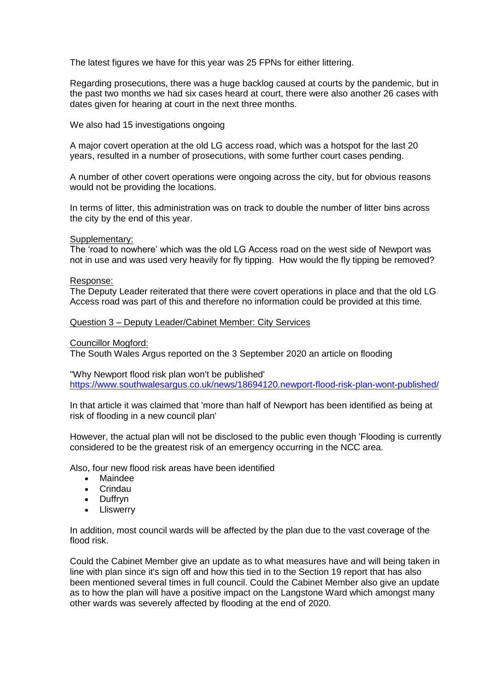The latest figures we have for this year was 25 FPNs for either littering.

Regarding prosecutions, there was a huge backlog caused at courts by the pandemic, but in the past two months we had six cases heard at court, there were also another 26 cases with dates given for hearing at court in the next three months.

We also had 15 investigations ongoing

A major covert operation at the old LG access road, which was a hotspot for the last 20 years, resulted in a number of prosecutions, with some further court cases pending.

A number of other covert operations were ongoing across the city, but for obvious reasons would not be providing the locations.

In terms of litter, this administration was on track to double the number of litter bins across the city by the end of this year.

Supplementary:

The 'road to nowhere' which was the old LG Access road on the west side of Newport was not in use and was used very heavily for fly tipping. How would the fly tipping be removed?

#### Response:

The Deputy Leader reiterated that there were covert operations in place and that the old LG Access road was part of this and therefore no information could be provided at this time.

#### Question 3 – Deputy Leader/Cabinet Member: City Services

Councillor Mogford:

The South Wales Argus reported on the 3 September 2020 an article on flooding

"Why Newport flood risk plan won't be published' <https://www.southwalesargus.co.uk/news/18694120.newport-flood-risk-plan-wont-published/>

In that article it was claimed that 'more than half of Newport has been identified as being at risk of flooding in a new council plan'

However, the actual plan will not be disclosed to the public even though 'Flooding is currently considered to be the greatest risk of an emergency occurring in the NCC area.

Also, four new flood risk areas have been identified

- Maindee
- Crindau
- Duffryn
- Lliswerry

In addition, most council wards will be affected by the plan due to the vast coverage of the flood risk.

Could the Cabinet Member give an update as to what measures have and will being taken in line with plan since it's sign off and how this tied in to the Section 19 report that has also been mentioned several times in full council. Could the Cabinet Member also give an update as to how the plan will have a positive impact on the Langstone Ward which amongst many other wards was severely affected by flooding at the end of 2020.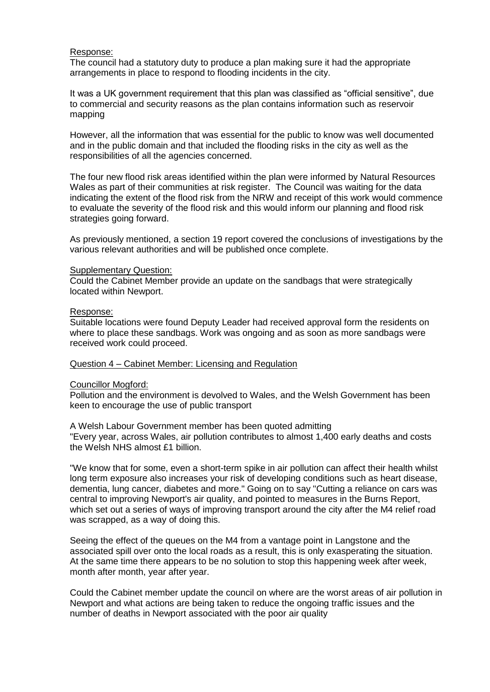#### Response:

The council had a statutory duty to produce a plan making sure it had the appropriate arrangements in place to respond to flooding incidents in the city.

It was a UK government requirement that this plan was classified as "official sensitive", due to commercial and security reasons as the plan contains information such as reservoir mapping

However, all the information that was essential for the public to know was well documented and in the public domain and that included the flooding risks in the city as well as the responsibilities of all the agencies concerned.

The four new flood risk areas identified within the plan were informed by Natural Resources Wales as part of their communities at risk register. The Council was waiting for the data indicating the extent of the flood risk from the NRW and receipt of this work would commence to evaluate the severity of the flood risk and this would inform our planning and flood risk strategies going forward.

As previously mentioned, a section 19 report covered the conclusions of investigations by the various relevant authorities and will be published once complete.

#### Supplementary Question:

Could the Cabinet Member provide an update on the sandbags that were strategically located within Newport.

#### Response:

Suitable locations were found Deputy Leader had received approval form the residents on where to place these sandbags. Work was ongoing and as soon as more sandbags were received work could proceed.

#### Question 4 – Cabinet Member: Licensing and Regulation

#### Councillor Mogford:

Pollution and the environment is devolved to Wales, and the Welsh Government has been keen to encourage the use of public transport

A Welsh Labour Government member has been quoted admitting "Every year, across Wales, air pollution contributes to almost 1,400 early deaths and costs the Welsh NHS almost £1 billion.

"We know that for some, even a short-term spike in air pollution can affect their health whilst long term exposure also increases your risk of developing conditions such as heart disease, dementia, lung cancer, diabetes and more." Going on to say "Cutting a reliance on cars was central to improving Newport's air quality, and pointed to measures in the Burns Report, which set out a series of ways of improving transport around the city after the M4 relief road was scrapped, as a way of doing this.

Seeing the effect of the queues on the M4 from a vantage point in Langstone and the associated spill over onto the local roads as a result, this is only exasperating the situation. At the same time there appears to be no solution to stop this happening week after week, month after month, year after year.

Could the Cabinet member update the council on where are the worst areas of air pollution in Newport and what actions are being taken to reduce the ongoing traffic issues and the number of deaths in Newport associated with the poor air quality